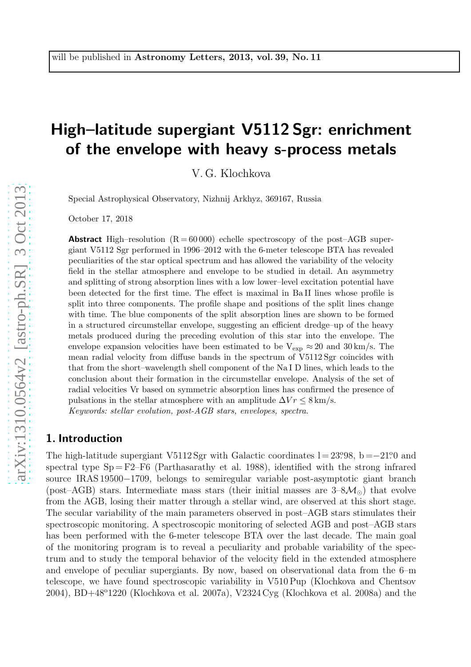# High–latitude supergiant V5112 Sgr: enrichment of the envelope with heavy s-process metals

V. G. Klochkova

Special Astrophysical Observatory, Nizhnij Arkhyz, 369167, Russia

October 17, 2018

**Abstract** High–resolution  $(R = 60000)$  echelle spectroscopy of the post–AGB supergiant V5112 Sgr performed in 1996–2012 with the 6-meter telescope BTA has revealed peculiarities of the star optical spectrum and has allowed the variability of the velocity field in the stellar atmosphere and envelope to be studied in detail. An asymmetry and splitting of strong absorption lines with a low lower–level excitation potential have been detected for the first time. The effect is maximal in Ba II lines whose profile is split into three components. The profile shape and positions of the split lines change with time. The blue components of the split absorption lines are shown to be formed in a structured circumstellar envelope, suggesting an efficient dredge–up of the heavy metals produced during the preceding evolution of this star into the envelope. The envelope expansion velocities have been estimated to be  $V_{\text{exp}} \approx 20$  and  $30 \text{ km/s}$ . The mean radial velocity from diffuse bands in the spectrum of V5112 Sgr coincides with that from the short–wavelength shell component of the Na I D lines, which leads to the conclusion about their formation in the circumstellar envelope. Analysis of the set of radial velocities Vr based on symmetric absorption lines has confirmed the presence of pulsations in the stellar atmosphere with an amplitude  $\Delta V r \leq 8 \text{ km/s}$ . Keywords: stellar evolution, post-AGB stars, envelopes, spectra.

#### 1. Introduction

The high-latitude supergiant V5112 Sgr with Galactic coordinates  $l = 23.98$ ,  $b = -21.0$  and spectral type  $Sp = F2-F6$  (Parthasarathy et al. 1988), identified with the strong infrared source IRAS 19500−1709, belongs to semiregular variable post-asymptotic giant branch (post–AGB) stars. Intermediate mass stars (their initial masses are  $3-8\mathcal{M}_{\odot}$ ) that evolve from the AGB, losing their matter through a stellar wind, are observed at this short stage. The secular variability of the main parameters observed in post–AGB stars stimulates their spectroscopic monitoring. A spectroscopic monitoring of selected AGB and post–AGB stars has been performed with the 6-meter telescope BTA over the last decade. The main goal of the monitoring program is to reveal a peculiarity and probable variability of the spectrum and to study the temporal behavior of the velocity field in the extended atmosphere and envelope of peculiar supergiants. By now, based on observational data from the 6–m telescope, we have found spectroscopic variability in V510 Pup (Klochkova and Chentsov  $2004$ , BD+48°1220 (Klochkova et al. 2007a), V2324 Cyg (Klochkova et al. 2008a) and the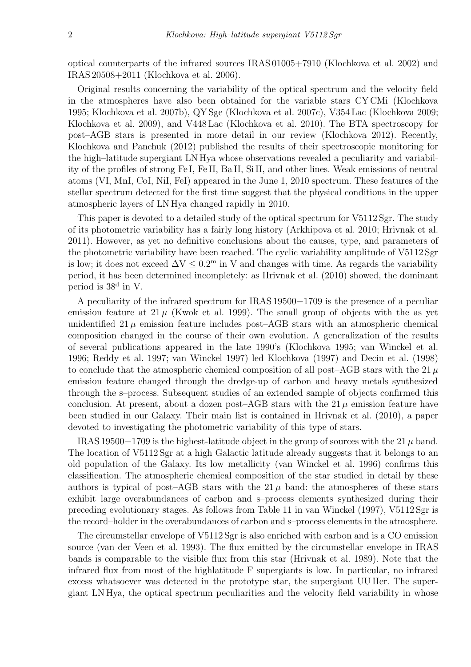optical counterparts of the infrared sources IRAS 01005+7910 (Klochkova et al. 2002) and IRAS 20508+2011 (Klochkova et al. 2006).

Original results concerning the variability of the optical spectrum and the velocity field in the atmospheres have also been obtained for the variable stars CY CMi (Klochkova 1995; Klochkova et al. 2007b), QY Sge (Klochkova et al. 2007c), V354 Lac (Klochkova 2009; Klochkova et al. 2009), and V448 Lac (Klochkova et al. 2010). The BTA spectroscopy for post–AGB stars is presented in more detail in our review (Klochkova 2012). Recently, Klochkova and Panchuk (2012) published the results of their spectroscopic monitoring for the high–latitude supergiant LN Hya whose observations revealed a peculiarity and variability of the profiles of strong Fe I, Fe II, Ba II, Si II, and other lines. Weak emissions of neutral atoms (VI, MnI, CoI, NiI, FeI) appeared in the June 1, 2010 spectrum. These features of the stellar spectrum detected for the first time suggest that the physical conditions in the upper atmospheric layers of LN Hya changed rapidly in 2010.

This paper is devoted to a detailed study of the optical spectrum for V5112 Sgr. The study of its photometric variability has a fairly long history (Arkhipova et al. 2010; Hrivnak et al. 2011). However, as yet no definitive conclusions about the causes, type, and parameters of the photometric variability have been reached. The cyclic variability amplitude of V5112 Sgr is low; it does not exceed  $\Delta V \leq 0.2^{\text{m}}$  in V and changes with time. As regards the variability period, it has been determined incompletely: as Hrivnak et al. (2010) showed, the dominant period is 38<sup>d</sup> in V.

A peculiarity of the infrared spectrum for IRAS 19500−1709 is the presence of a peculiar emission feature at  $21 \mu$  (Kwok et al. 1999). The small group of objects with the as yet unidentified  $21 \mu$  emission feature includes post-AGB stars with an atmospheric chemical composition changed in the course of their own evolution. A generalization of the results of several publications appeared in the late 1990's (Klochkova 1995; van Winckel et al. 1996; Reddy et al. 1997; van Winckel 1997) led Klochkova (1997) and Decin et al. (1998) to conclude that the atmospheric chemical composition of all post–AGB stars with the 21  $\mu$ emission feature changed through the dredge-up of carbon and heavy metals synthesized through the s–process. Subsequent studies of an extended sample of objects confirmed this conclusion. At present, about a dozen post–AGB stars with the  $21 \mu$  emission feature have been studied in our Galaxy. Their main list is contained in Hrivnak et al. (2010), a paper devoted to investigating the photometric variability of this type of stars.

IRAS 19500−1709 is the highest-latitude object in the group of sources with the 21  $\mu$  band. The location of V5112 Sgr at a high Galactic latitude already suggests that it belongs to an old population of the Galaxy. Its low metallicity (van Winckel et al. 1996) confirms this classification. The atmospheric chemical composition of the star studied in detail by these authors is typical of post–AGB stars with the  $21 \mu$  band: the atmospheres of these stars exhibit large overabundances of carbon and s–process elements synthesized during their preceding evolutionary stages. As follows from Table 11 in van Winckel (1997), V5112 Sgr is the record–holder in the overabundances of carbon and s–process elements in the atmosphere.

The circumstellar envelope of V5112 Sgr is also enriched with carbon and is a CO emission source (van der Veen et al. 1993). The flux emitted by the circumstellar envelope in IRAS bands is comparable to the visible flux from this star (Hrivnak et al. 1989). Note that the infrared flux from most of the highlatitude F supergiants is low. In particular, no infrared excess whatsoever was detected in the prototype star, the supergiant UU Her. The supergiant LN Hya, the optical spectrum peculiarities and the velocity field variability in whose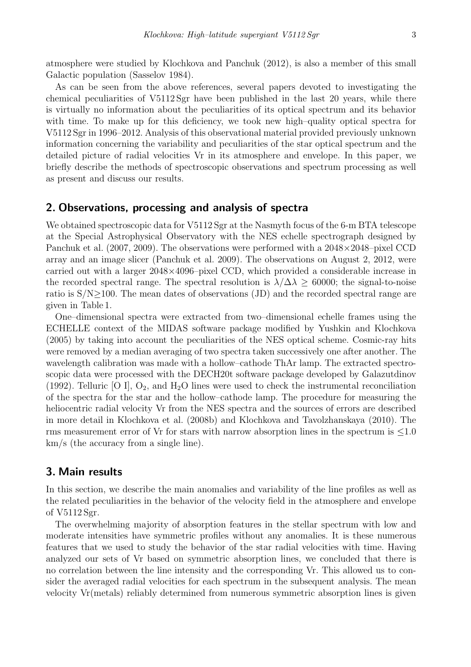atmosphere were studied by Klochkova and Panchuk (2012), is also a member of this small Galactic population (Sasselov 1984).

As can be seen from the above references, several papers devoted to investigating the chemical peculiarities of V5112 Sgr have been published in the last 20 years, while there is virtually no information about the peculiarities of its optical spectrum and its behavior with time. To make up for this deficiency, we took new high–quality optical spectra for V5112 Sgr in 1996–2012. Analysis of this observational material provided previously unknown information concerning the variability and peculiarities of the star optical spectrum and the detailed picture of radial velocities Vr in its atmosphere and envelope. In this paper, we briefly describe the methods of spectroscopic observations and spectrum processing as well as present and discuss our results.

#### 2. Observations, processing and analysis of spectra

We obtained spectroscopic data for V5112 Sgr at the Nasmyth focus of the 6-m BTA telescope at the Special Astrophysical Observatory with the NES echelle spectrograph designed by Panchuk et al. (2007, 2009). The observations were performed with a 2048×2048–pixel CCD array and an image slicer (Panchuk et al. 2009). The observations on August 2, 2012, were carried out with a larger 2048×4096–pixel CCD, which provided a considerable increase in the recorded spectral range. The spectral resolution is  $\lambda/\Delta\lambda \geq 60000$ ; the signal-to-noise ratio is S/N≥100. The mean dates of observations (JD) and the recorded spectral range are given in Table 1.

One–dimensional spectra were extracted from two–dimensional echelle frames using the ECHELLE context of the MIDAS software package modified by Yushkin and Klochkova (2005) by taking into account the peculiarities of the NES optical scheme. Cosmic-ray hits were removed by a median averaging of two spectra taken successively one after another. The wavelength calibration was made with a hollow–cathode ThAr lamp. The extracted spectroscopic data were processed with the DECH20t software package developed by Galazutdinov (1992). Telluric [O I],  $O_2$ , and  $H_2O$  lines were used to check the instrumental reconciliation of the spectra for the star and the hollow–cathode lamp. The procedure for measuring the heliocentric radial velocity Vr from the NES spectra and the sources of errors are described in more detail in Klochkova et al. (2008b) and Klochkova and Tavolzhanskaya (2010). The rms measurement error of Vr for stars with narrow absorption lines in the spectrum is  $\leq 1.0$ km/s (the accuracy from a single line).

## 3. Main results

In this section, we describe the main anomalies and variability of the line profiles as well as the related peculiarities in the behavior of the velocity field in the atmosphere and envelope of V5112 Sgr.

The overwhelming majority of absorption features in the stellar spectrum with low and moderate intensities have symmetric profiles without any anomalies. It is these numerous features that we used to study the behavior of the star radial velocities with time. Having analyzed our sets of Vr based on symmetric absorption lines, we concluded that there is no correlation between the line intensity and the corresponding Vr. This allowed us to consider the averaged radial velocities for each spectrum in the subsequent analysis. The mean velocity Vr(metals) reliably determined from numerous symmetric absorption lines is given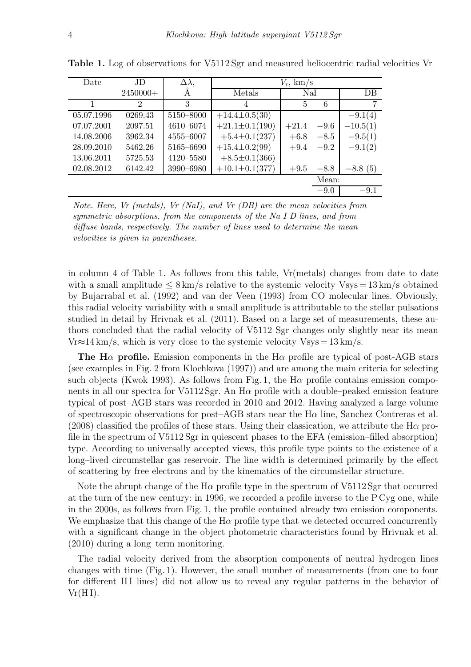| Date       | JD.        | $\Delta \lambda,$ | $V_{\rm r}$ , km/s    |         |        |            |
|------------|------------|-------------------|-----------------------|---------|--------|------------|
|            | $2450000+$ | Ă                 | Metals                | NaI     |        | DB         |
|            | 2          | 3                 | 4                     | 5       | 6      |            |
| 05.07.1996 | 0269.43    | 5150-8000         | $+14.4\pm0.5(30)$     |         |        | $-9.1(4)$  |
| 07.07.2001 | 2097.51    | 4610-6074         | $+21.1 \pm 0.1(190)$  | $+21.4$ | $-9.6$ | $-10.5(1)$ |
| 14.08.2006 | 3962.34    | 4555-6007         | $+5.4 \pm 0.1 (237)$  | $+6.8$  | $-8.5$ | $-9.5(1)$  |
| 28.09.2010 | 5462.26    | 5165-6690         | $+15.4 \pm 0.2(99)$   | $+9.4$  | $-9.2$ | $-9.1(2)$  |
| 13.06.2011 | 5725.53    | 4120-5580         | $+8.5\pm0.1(366)$     |         |        |            |
| 02.08.2012 | 6142.42    | 3990-6980         | $+10.1 \pm 0.1 (377)$ | $+9.5$  | $-8.8$ | $-8.8(5)$  |
|            |            |                   |                       |         | Mean:  |            |
|            |            |                   |                       |         | $-9.0$ | $-9.1$     |

Table 1. Log of observations for V5112 Sgr and measured heliocentric radial velocities Vr

Note. Here, Vr (metals), Vr (NaI), and Vr (DB) are the mean velocities from symmetric absorptions, from the components of the Na I D lines, and from diffuse bands, respectively. The number of lines used to determine the mean velocities is given in parentheses.

in column 4 of Table 1. As follows from this table, Vr(metals) changes from date to date with a small amplitude  $\leq 8 \text{ km/s}$  relative to the systemic velocity Vsys = 13 km/s obtained by Bujarrabal et al. (1992) and van der Veen (1993) from CO molecular lines. Obviously, this radial velocity variability with a small amplitude is attributable to the stellar pulsations studied in detail by Hrivnak et al. (2011). Based on a large set of measurements, these authors concluded that the radial velocity of V5112 Sgr changes only slightly near its mean  $Vr \approx 14 \text{ km/s}$ , which is very close to the systemic velocity  $Vsys = 13 \text{ km/s}$ .

The H $\alpha$  profile. Emission components in the H $\alpha$  profile are typical of post-AGB stars (see examples in Fig. 2 from Klochkova (1997)) and are among the main criteria for selecting such objects (Kwok 1993). As follows from Fig. 1, the H $\alpha$  profile contains emission components in all our spectra for V5112 Sgr. An  $H\alpha$  profile with a double–peaked emission feature typical of post–AGB stars was recorded in 2010 and 2012. Having analyzed a large volume of spectroscopic observations for post–AGB stars near the  $H\alpha$  line, Sanchez Contreras et al. (2008) classified the profiles of these stars. Using their classication, we attribute the H $\alpha$  profile in the spectrum of V5112 Sgr in quiescent phases to the EFA (emission–filled absorption) type. According to universally accepted views, this profile type points to the existence of a long–lived circumstellar gas reservoir. The line width is determined primarily by the effect of scattering by free electrons and by the kinematics of the circumstellar structure.

Note the abrupt change of the H $\alpha$  profile type in the spectrum of V5112 Sgr that occurred at the turn of the new century: in 1996, we recorded a profile inverse to the P Cyg one, while in the 2000s, as follows from Fig. 1, the profile contained already two emission components. We emphasize that this change of the  $H\alpha$  profile type that we detected occurred concurrently with a significant change in the object photometric characteristics found by Hrivnak et al. (2010) during a long–term monitoring.

The radial velocity derived from the absorption components of neutral hydrogen lines changes with time (Fig. 1). However, the small number of measurements (from one to four for different HI lines) did not allow us to reveal any regular patterns in the behavior of  $Vr(H I)$ .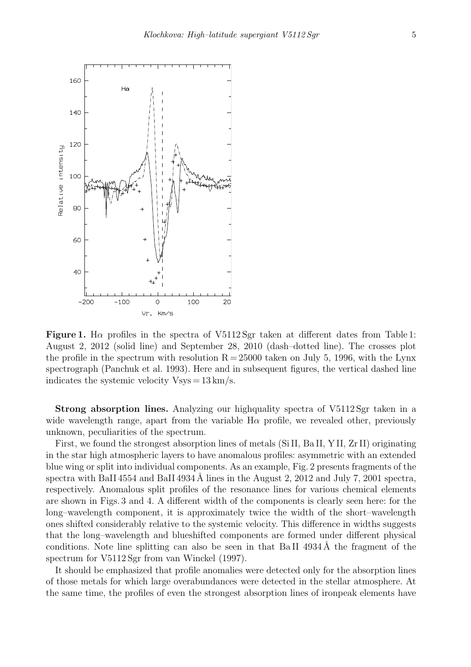

Figure 1. H $\alpha$  profiles in the spectra of V5112 Sgr taken at different dates from Table 1: August 2, 2012 (solid line) and September 28, 2010 (dash–dotted line). The crosses plot the profile in the spectrum with resolution  $R = 25000$  taken on July 5, 1996, with the Lynx spectrograph (Panchuk et al. 1993). Here and in subsequent figures, the vertical dashed line indicates the systemic velocity  $V$ sys = 13 km/s.

Strong absorption lines. Analyzing our highquality spectra of V5112 Sgr taken in a wide wavelength range, apart from the variable  $H\alpha$  profile, we revealed other, previously unknown, peculiarities of the spectrum.

First, we found the strongest absorption lines of metals (Si II, Ba II, Y II, Zr II) originating in the star high atmospheric layers to have anomalous profiles: asymmetric with an extended blue wing or split into individual components. As an example, Fig. 2 presents fragments of the spectra with BaII 4554 and BaII 4934 Å lines in the August 2, 2012 and July 7, 2001 spectra, respectively. Anomalous split profiles of the resonance lines for various chemical elements are shown in Figs. 3 and 4. A different width of the components is clearly seen here: for the long–wavelength component, it is approximately twice the width of the short–wavelength ones shifted considerably relative to the systemic velocity. This difference in widths suggests that the long–wavelength and blueshifted components are formed under different physical conditions. Note line splitting can also be seen in that Ba II  $4934\text{\AA}$  the fragment of the spectrum for V5112 Sgr from van Winckel (1997).

It should be emphasized that profile anomalies were detected only for the absorption lines of those metals for which large overabundances were detected in the stellar atmosphere. At the same time, the profiles of even the strongest absorption lines of ironpeak elements have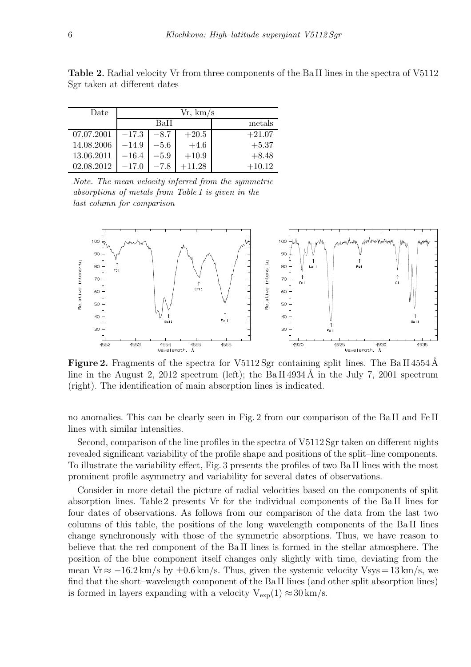| Date       | Vr, km/s |        |          |          |  |  |
|------------|----------|--------|----------|----------|--|--|
|            |          | BaH    | metals   |          |  |  |
| 07.07.2001 | $-17.3$  | $-8.7$ | $+20.5$  | $+21.07$ |  |  |
| 14.08.2006 | $-14.9$  | $-5.6$ | $+4.6$   | $+5.37$  |  |  |
| 13.06.2011 | $-16.4$  | $-5.9$ | $+10.9$  | $+8.48$  |  |  |
| 02.08.2012 | $-17.0$  | $-7.8$ | $+11.28$ | $+10.12$ |  |  |

Table 2. Radial velocity Vr from three components of the Ba II lines in the spectra of V5112 Sgr taken at different dates

Note. The mean velocity inferred from the symmetric absorptions of metals from Table 1 is given in the last column for comparison



**Figure 2.** Fragments of the spectra for V5112 Sgr containing split lines. The Ba II 4554 Å line in the August 2, 2012 spectrum (left); the Ba II 4934 A in the July 7, 2001 spectrum (right). The identification of main absorption lines is indicated.

no anomalies. This can be clearly seen in Fig. 2 from our comparison of the Ba II and Fe II lines with similar intensities.

Second, comparison of the line profiles in the spectra of V5112 Sgr taken on different nights revealed significant variability of the profile shape and positions of the split–line components. To illustrate the variability effect, Fig. 3 presents the profiles of two Ba II lines with the most prominent profile asymmetry and variability for several dates of observations.

Consider in more detail the picture of radial velocities based on the components of split absorption lines. Table 2 presents Vr for the individual components of the Ba II lines for four dates of observations. As follows from our comparison of the data from the last two columns of this table, the positions of the long–wavelength components of the Ba II lines change synchronously with those of the symmetric absorptions. Thus, we have reason to believe that the red component of the Ba II lines is formed in the stellar atmosphere. The position of the blue component itself changes only slightly with time, deviating from the mean Vr  $\approx -16.2 \text{ km/s}$  by  $\pm 0.6 \text{ km/s}$ . Thus, given the systemic velocity Vsys = 13 km/s, we find that the short–wavelength component of the Ba II lines (and other split absorption lines) is formed in layers expanding with a velocity  $V_{exp}(1) \approx 30 \text{ km/s}$ .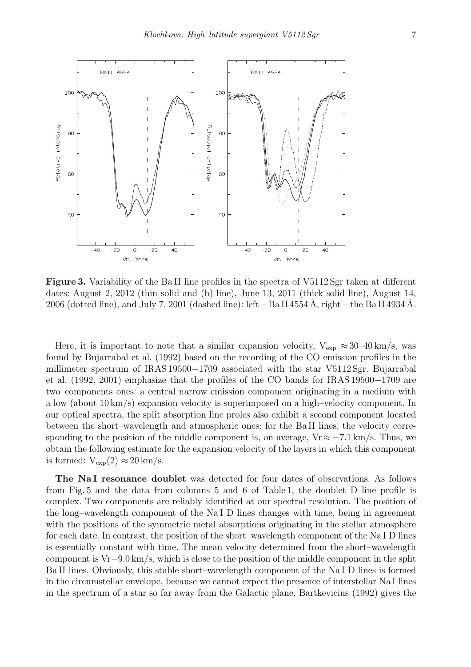

Figure 3. Variability of the Ba II line profiles in the spectra of V5112 Sgr taken at different dates: August 2, 2012 (thin solid and (b) line), June 13, 2011 (thick solid line), August 14, 2006 (dotted line), and July 7, 2001 (dashed line): left – Ba II 4554 Å, right – the Ba II 4934 Å.

Here, it is important to note that a similar expansion velocity,  $V_{\text{exp}} \approx 30{\text -}40 \text{ km/s}$ , was found by Bujarrabal et al. (1992) based on the recording of the CO emission profiles in the millimeter spectrum of IRAS 19500−1709 associated with the star V5112 Sgr. Bujarrabal et al. (1992, 2001) emphasize that the profiles of the CO bands for IRAS 19500−1709 are two–components ones: a central narrow emission component originating in a medium with a low (about 10 km/s) expansion velocity is superimposed on a high–velocity component. In our optical spectra, the split absorption line proles also exhibit a second component located between the short–wavelength and atmospheric ones: for the Ba II lines, the velocity corresponding to the position of the middle component is, on average,  $Vr \approx -7.1 \text{ km/s}$ . Thus, we obtain the following estimate for the expansion velocity of the layers in which this component is formed:  $V_{\rm exp}(2) \approx 20 \,\rm km/s$ .

The NaI resonance doublet was detected for four dates of observations. As follows from Fig. 5 and the data from columns 5 and 6 of Table 1, the doublet D line profile is complex. Two components are reliably identified at our spectral resolution. The position of the long–wavelength component of the Na I D lines changes with time, being in agreement with the positions of the symmetric metal absorptions originating in the stellar atmosphere for each date. In contrast, the position of the short–wavelength component of the Na I D lines is essentially constant with time. The mean velocity determined from the short–wavelength component is Vr−9.0 km/s, which is close to the position of the middle component in the split Ba II lines. Obviously, this stable short–wavelength component of the Na I D lines is formed in the circumstellar envelope, because we cannot expect the presence of interstellar Na I lines in the spectrum of a star so far away from the Galactic plane. Bartkevicius (1992) gives the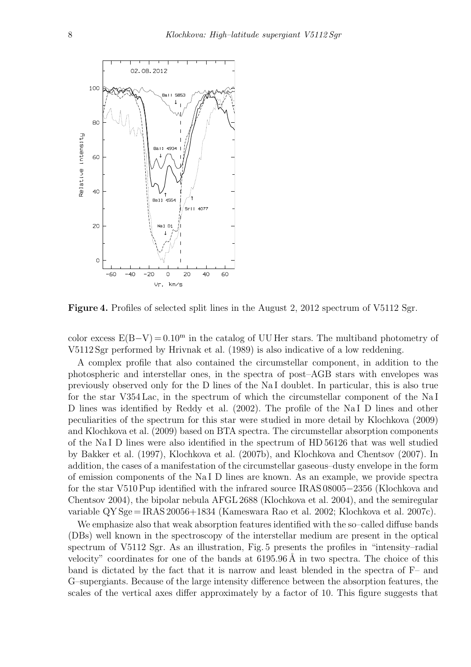

Figure 4. Profiles of selected split lines in the August 2, 2012 spectrum of V5112 Sgr.

color excess  $E(B-V) = 0.10<sup>m</sup>$  in the catalog of UU Her stars. The multiband photometry of V5112 Sgr performed by Hrivnak et al. (1989) is also indicative of a low reddening.

A complex profile that also contained the circumstellar component, in addition to the photospheric and interstellar ones, in the spectra of post–AGB stars with envelopes was previously observed only for the D lines of the Na I doublet. In particular, this is also true for the star V354 Lac, in the spectrum of which the circumstellar component of the Na I D lines was identified by Reddy et al. (2002). The profile of the NaI D lines and other peculiarities of the spectrum for this star were studied in more detail by Klochkova (2009) and Klochkova et al. (2009) based on BTA spectra. The circumstellar absorption components of the Na I D lines were also identified in the spectrum of HD 56126 that was well studied by Bakker et al. (1997), Klochkova et al. (2007b), and Klochkova and Chentsov (2007). In addition, the cases of a manifestation of the circumstellar gaseous–dusty envelope in the form of emission components of the Na I D lines are known. As an example, we provide spectra for the star V510 Pup identified with the infrared source IRAS 08005−2356 (Klochkova and Chentsov 2004), the bipolar nebula AFGL 2688 (Klochkova et al. 2004), and the semiregular variable QY Sge = IRAS 20056+1834 (Kameswara Rao et al. 2002; Klochkova et al. 2007c).

We emphasize also that weak absorption features identified with the so-called diffuse bands (DBs) well known in the spectroscopy of the interstellar medium are present in the optical spectrum of V5112 Sgr. As an illustration, Fig. 5 presents the profiles in "intensity–radial velocity" coordinates for one of the bands at  $6195.96 \text{\AA}$  in two spectra. The choice of this band is dictated by the fact that it is narrow and least blended in the spectra of F– and G–supergiants. Because of the large intensity difference between the absorption features, the scales of the vertical axes differ approximately by a factor of 10. This figure suggests that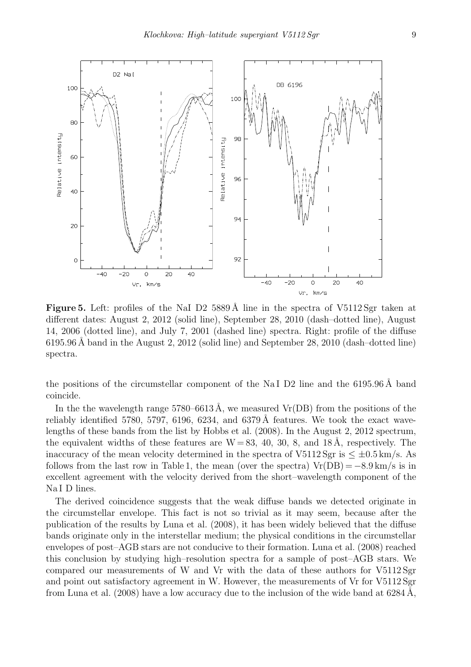

**Figure 5.** Left: profiles of the NaI D2 5889 Å line in the spectra of V5112 Sgr taken at different dates: August 2, 2012 (solid line), September 28, 2010 (dash–dotted line), August 14, 2006 (dotted line), and July 7, 2001 (dashed line) spectra. Right: profile of the diffuse 6195.96 Å band in the August 2, 2012 (solid line) and September 28, 2010 (dash-dotted line) spectra.

the positions of the circumstellar component of the NaI D2 line and the  $6195.96\text{ Å}$  band coincide.

In the the wavelength range  $5780-6613 \text{ Å}$ , we measured Vr(DB) from the positions of the reliably identified 5780, 5797, 6196, 6234, and 6379 Å features. We took the exact wavelengths of these bands from the list by Hobbs et al. (2008). In the August 2, 2012 spectrum, the equivalent widths of these features are  $W = 83, 40, 30, 8,$  and  $18 \text{ Å}$ , respectively. The inaccuracy of the mean velocity determined in the spectra of V5112 Sgr is  $\leq \pm 0.5$  km/s. As follows from the last row in Table 1, the mean (over the spectra)  $Vr(DB) = -8.9 \text{ km/s}$  is in excellent agreement with the velocity derived from the short–wavelength component of the Na I D lines.

The derived coincidence suggests that the weak diffuse bands we detected originate in the circumstellar envelope. This fact is not so trivial as it may seem, because after the publication of the results by Luna et al. (2008), it has been widely believed that the diffuse bands originate only in the interstellar medium; the physical conditions in the circumstellar envelopes of post–AGB stars are not conducive to their formation. Luna et al. (2008) reached this conclusion by studying high–resolution spectra for a sample of post–AGB stars. We compared our measurements of W and Vr with the data of these authors for V5112 Sgr and point out satisfactory agreement in W. However, the measurements of Vr for V5112 Sgr from Luna et al. (2008) have a low accuracy due to the inclusion of the wide band at  $6284 \text{\AA}$ ,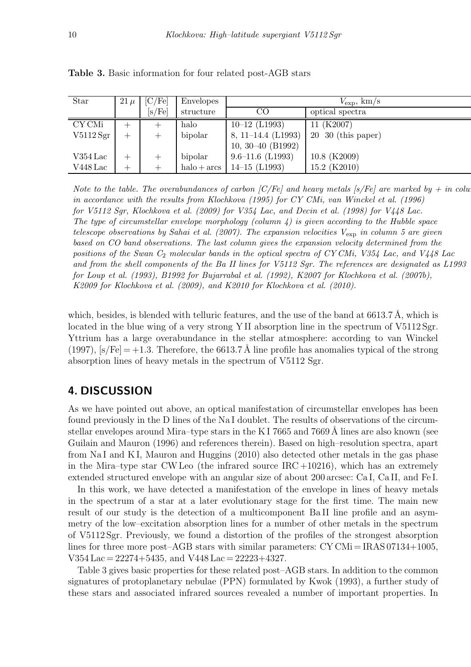| <b>Star</b>      | $21 \mu$ | [C/Fe] | <b>Envelopes</b> | $V_{\rm exp}$ , km/s |                       |
|------------------|----------|--------|------------------|----------------------|-----------------------|
|                  |          | [s/Fe] | structure        | CO                   | optical spectra       |
| CY CMi           |          |        | halo             | $10-12$ (L1993)      | 11 (K2007)            |
| V5112 Sgr        |          |        | bipolar          | 8, 11–14.4 $(L1993)$ | $20\,30$ (this paper) |
|                  |          |        |                  | 10, 30–40 $(B1992)$  |                       |
| $V354\,\rm{Lac}$ |          |        | bipolar          | $9.6 - 11.6$ (L1993) | 10.8 (K2009)          |
| $V448$ Lac       |          |        | $halo + arcs$    | $14-15$ (L1993)      | 15.2 (K2010)          |

Table 3. Basic information for four related post-AGB stars

Note to the table. The overabundances of carbon [C/Fe] and heavy metals [s/Fe] are marked by  $+$  in column 3. in accordance with the results from Klochkova (1995) for CY CMi, van Winckel et al. (1996) for V5112 Sgr, Klochkova et al. (2009) for V354 Lac, and Decin et al. (1998) for V448 Lac. The type of circumstellar envelope morphology (column  $\lambda$ ) is given according to the Hubble space telescope observations by Sahai et al. (2007). The expansion velocities  $V_{\text{exp}}$  in column 5 are given based on CO band observations. The last column gives the expansion velocity determined from the positions of the Swan  $C_2$  molecular bands in the optical spectra of CY CMi, V354 Lac, and V448 Lac and from the shell components of the Ba II lines for V5112 Sgr. The references are designated as L1993 for Loup et al. (1993), B1992 for Bujarrabal et al. (1992), K2007 for Klochkova et al. (2007b), K2009 for Klochkova et al. (2009), and K2010 for Klochkova et al. (2010).

which, besides, is blended with telluric features, and the use of the band at  $6613.7 \text{ Å}$ , which is located in the blue wing of a very strong Y II absorption line in the spectrum of V5112 Sgr. Yttrium has a large overabundance in the stellar atmosphere: according to van Winckel (1997),  $[s/Fe] = +1.3$ . Therefore, the 6613.7 Å line profile has anomalies typical of the strong absorption lines of heavy metals in the spectrum of V5112 Sgr.

## 4. DISCUSSION

As we have pointed out above, an optical manifestation of circumstellar envelopes has been found previously in the D lines of the Na I doublet. The results of observations of the circumstellar envelopes around Mira–type stars in the K I 7665 and 7669  $\AA$  lines are also known (see Guilain and Mauron (1996) and references therein). Based on high–resolution spectra, apart from Na I and K I, Mauron and Huggins (2010) also detected other metals in the gas phase in the Mira–type star CW Leo (the infrared source  $\text{IRC}+10216$ ), which has an extremely extended structured envelope with an angular size of about 200 arcsec: Ca I, Ca II, and Fe I.

In this work, we have detected a manifestation of the envelope in lines of heavy metals in the spectrum of a star at a later evolutionary stage for the first time. The main new result of our study is the detection of a multicomponent Ba II line profile and an asymmetry of the low–excitation absorption lines for a number of other metals in the spectrum of V5112 Sgr. Previously, we found a distortion of the profiles of the strongest absorption lines for three more post–AGB stars with similar parameters:  $CY CMi = IRAS 07134+1005$ , V354 Lac = 22274+5435, and V448 Lac = 22223+4327.

Table 3 gives basic properties for these related post–AGB stars. In addition to the common signatures of protoplanetary nebulae (PPN) formulated by Kwok (1993), a further study of these stars and associated infrared sources revealed a number of important properties. In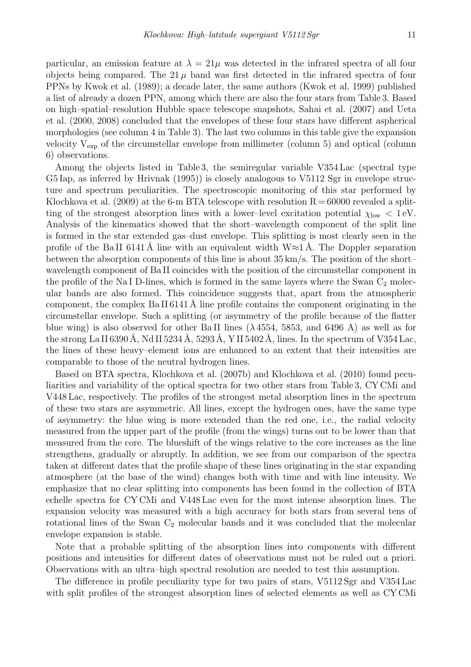particular, an emission feature at  $\lambda = 21\mu$  was detected in the infrared spectra of all four objects being compared. The 21  $\mu$  band was first detected in the infrared spectra of four PPNs by Kwok et al. (1989); a decade later, the same authors (Kwok et al. 1999) published a list of already a dozen PPN, among which there are also the four stars from Table 3. Based on high–spatial–resolution Hubble space telescope snapshots, Sahai et al. (2007) and Ueta et al. (2000, 2008) concluded that the envelopes of these four stars have different aspherical morphologies (see column 4 in Table 3). The last two columns in this table give the expansion velocity  $V_{\text{exp}}$  of the circumstellar envelope from millimeter (column 5) and optical (column 6) observations.

Among the objects listed in Table 3, the semiregular variable V354 Lac (spectral type G5 Iap, as inferred by Hrivnak (1995)) is closely analogous to V5112 Sgr in envelope structure and spectrum peculiarities. The spectroscopic monitoring of this star performed by Klochkova et al. (2009) at the 6-m BTA telescope with resolution  $R = 60000$  revealed a splitting of the strongest absorption lines with a lower–level excitation potential  $\chi_{\text{low}} < 1 \text{ eV}$ . Analysis of the kinematics showed that the short–wavelength component of the split line is formed in the star extended gas–dust envelope. This splitting is most clearly seen in the profile of the BaII 6141 Å line with an equivalent width  $W \approx 1$  Å. The Doppler separation between the absorption components of this line is about  $35 \,\mathrm{km/s}$ . The position of the short– wavelength component of Ba II coincides with the position of the circumstellar component in the profile of the Na I D-lines, which is formed in the same layers where the Swan  $C_2$  molecular bands are also formed. This coincidence suggests that, apart from the atmospheric component, the complex Ba II 6141 Å line profile contains the component originating in the circumstellar envelope. Such a splitting (or asymmetry of the profile because of the flatter blue wing) is also observed for other BaII lines ( $\lambda$ 4554, 5853, and 6496 A) as well as for the strong La II 6390 Å, Nd II 5234 Å, 5293 Å, Y II 5402 Å, lines. In the spectrum of V354 Lac, the lines of these heavy–element ions are enhanced to an extent that their intensities are comparable to those of the neutral hydrogen lines.

Based on BTA spectra, Klochkova et al. (2007b) and Klochkova et al. (2010) found peculiarities and variability of the optical spectra for two other stars from Table 3, CY CMi and V448 Lac, respectively. The profiles of the strongest metal absorption lines in the spectrum of these two stars are asymmetric. All lines, except the hydrogen ones, have the same type of asymmetry: the blue wing is more extended than the red one, i.e., the radial velocity measured from the upper part of the profile (from the wings) turns out to be lower than that measured from the core. The blueshift of the wings relative to the core increases as the line strengthens, gradually or abruptly. In addition, we see from our comparison of the spectra taken at different dates that the profile shape of these lines originating in the star expanding atmosphere (at the base of the wind) changes both with time and with line intensity. We emphasize that no clear splitting into components has been found in the collection of BTA echelle spectra for CY CMi and V448 Lac even for the most intense absorption lines. The expansion velocity was measured with a high accuracy for both stars from several tens of rotational lines of the Swan  $C_2$  molecular bands and it was concluded that the molecular envelope expansion is stable.

Note that a probable splitting of the absorption lines into components with different positions and intensities for different dates of observations must not be ruled out a priori. Observations with an ultra–high spectral resolution are needed to test this assumption.

The difference in profile peculiarity type for two pairs of stars, V5112 Sgr and V354 Lac with split profiles of the strongest absorption lines of selected elements as well as CY CMi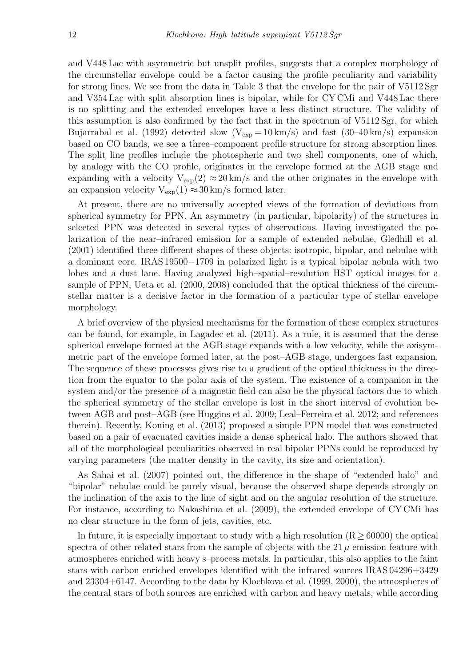and V448 Lac with asymmetric but unsplit profiles, suggests that a complex morphology of the circumstellar envelope could be a factor causing the profile peculiarity and variability for strong lines. We see from the data in Table 3 that the envelope for the pair of V5112 Sgr and V354 Lac with split absorption lines is bipolar, while for CY CMi and V448 Lac there is no splitting and the extended envelopes have a less distinct structure. The validity of this assumption is also confirmed by the fact that in the spectrum of V5112 Sgr, for which Bujarrabal et al. (1992) detected slow  $(V_{\rm exp} = 10 \,\rm km/s)$  and fast (30–40 km/s) expansion based on CO bands, we see a three–component profile structure for strong absorption lines. The split line profiles include the photospheric and two shell components, one of which, by analogy with the CO profile, originates in the envelope formed at the AGB stage and expanding with a velocity  $V_{\text{exp}}(2) \approx 20 \text{ km/s}$  and the other originates in the envelope with an expansion velocity  $V_{\text{exp}}(1) \approx 30 \text{ km/s}$  formed later.

At present, there are no universally accepted views of the formation of deviations from spherical symmetry for PPN. An asymmetry (in particular, bipolarity) of the structures in selected PPN was detected in several types of observations. Having investigated the polarization of the near–infrared emission for a sample of extended nebulae, Gledhill et al. (2001) identified three different shapes of these objects: isotropic, bipolar, and nebulae with a dominant core. IRAS 19500−1709 in polarized light is a typical bipolar nebula with two lobes and a dust lane. Having analyzed high–spatial–resolution HST optical images for a sample of PPN, Ueta et al. (2000, 2008) concluded that the optical thickness of the circumstellar matter is a decisive factor in the formation of a particular type of stellar envelope morphology.

A brief overview of the physical mechanisms for the formation of these complex structures can be found, for example, in Lagadec et al. (2011). As a rule, it is assumed that the dense spherical envelope formed at the AGB stage expands with a low velocity, while the axisymmetric part of the envelope formed later, at the post–AGB stage, undergoes fast expansion. The sequence of these processes gives rise to a gradient of the optical thickness in the direction from the equator to the polar axis of the system. The existence of a companion in the system and/or the presence of a magnetic field can also be the physical factors due to which the spherical symmetry of the stellar envelope is lost in the short interval of evolution between AGB and post–AGB (see Huggins et al. 2009; Leal–Ferreira et al. 2012; and references therein). Recently, Koning et al. (2013) proposed a simple PPN model that was constructed based on a pair of evacuated cavities inside a dense spherical halo. The authors showed that all of the morphological peculiarities observed in real bipolar PPNs could be reproduced by varying parameters (the matter density in the cavity, its size and orientation).

As Sahai et al. (2007) pointed out, the difference in the shape of "extended halo" and "bipolar" nebulae could be purely visual, because the observed shape depends strongly on the inclination of the axis to the line of sight and on the angular resolution of the structure. For instance, according to Nakashima et al. (2009), the extended envelope of CY CMi has no clear structure in the form of jets, cavities, etc.

In future, it is especially important to study with a high resolution  $(R > 60000)$  the optical spectra of other related stars from the sample of objects with the 21  $\mu$  emission feature with atmospheres enriched with heavy s–process metals. In particular, this also applies to the faint stars with carbon enriched envelopes identified with the infrared sources IRAS 04296+3429 and 23304+6147. According to the data by Klochkova et al. (1999, 2000), the atmospheres of the central stars of both sources are enriched with carbon and heavy metals, while according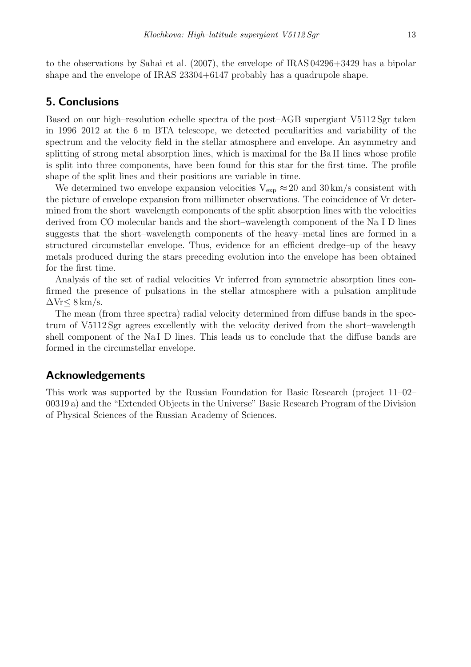to the observations by Sahai et al. (2007), the envelope of IRAS 04296+3429 has a bipolar shape and the envelope of IRAS 23304+6147 probably has a quadrupole shape.

## 5. Conclusions

Based on our high–resolution echelle spectra of the post–AGB supergiant V5112 Sgr taken in 1996–2012 at the 6–m BTA telescope, we detected peculiarities and variability of the spectrum and the velocity field in the stellar atmosphere and envelope. An asymmetry and splitting of strong metal absorption lines, which is maximal for the Ba II lines whose profile is split into three components, have been found for this star for the first time. The profile shape of the split lines and their positions are variable in time.

We determined two envelope expansion velocities  $V_{\text{exp}} \approx 20$  and  $30 \text{ km/s}$  consistent with the picture of envelope expansion from millimeter observations. The coincidence of Vr determined from the short–wavelength components of the split absorption lines with the velocities derived from CO molecular bands and the short–wavelength component of the Na I D lines suggests that the short–wavelength components of the heavy–metal lines are formed in a structured circumstellar envelope. Thus, evidence for an efficient dredge–up of the heavy metals produced during the stars preceding evolution into the envelope has been obtained for the first time.

Analysis of the set of radial velocities Vr inferred from symmetric absorption lines confirmed the presence of pulsations in the stellar atmosphere with a pulsation amplitude  $\Delta Vr \leq 8 \,\mathrm{km/s}.$ 

The mean (from three spectra) radial velocity determined from diffuse bands in the spectrum of V5112 Sgr agrees excellently with the velocity derived from the short–wavelength shell component of the Na I D lines. This leads us to conclude that the diffuse bands are formed in the circumstellar envelope.

#### Acknowledgements

This work was supported by the Russian Foundation for Basic Research (project 11–02– 00319 a) and the "Extended Objects in the Universe" Basic Research Program of the Division of Physical Sciences of the Russian Academy of Sciences.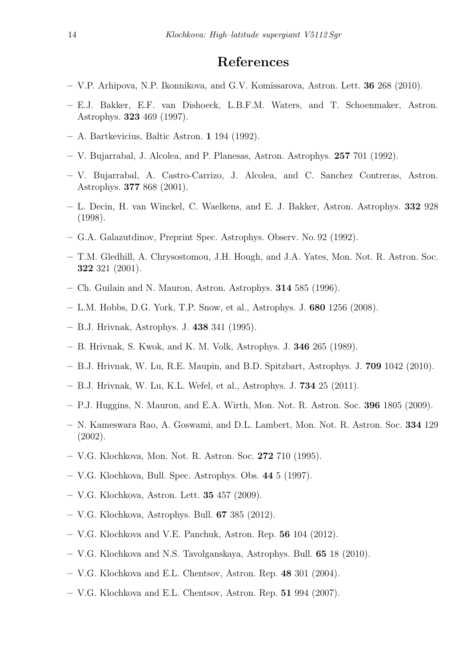## References

- V.P. Arhipova, N.P. Ikonnikova, and G.V. Komissarova, Astron. Lett. 36 268 (2010).
- E.J. Bakker, E.F. van Dishoeck, L.B.F.M. Waters, and T. Schoenmaker, Astron. Astrophys. 323 469 (1997).
- A. Bartkevicius, Baltic Astron. 1 194 (1992).
- V. Bujarrabal, J. Alcolea, and P. Planesas, Astron. Astrophys. 257 701 (1992).
- V. Bujarrabal, A. Castro-Carrizo, J. Alcolea, and C. Sanchez Contreras, Astron. Astrophys. 377 868 (2001).
- L. Decin, H. van Winckel, C. Waelkens, and E. J. Bakker, Astron. Astrophys. 332 928 (1998).
- G.A. Galazutdinov, Preprint Spec. Astrophys. Observ. No. 92 (1992).
- T.M. Gledhill, A. Chrysostomou, J.H. Hough, and J.A. Yates, Mon. Not. R. Astron. Soc. 322 321 (2001).
- Ch. Guilain and N. Mauron, Astron. Astrophys. 314 585 (1996).
- L.M. Hobbs, D.G. York, T.P. Snow, et al., Astrophys. J. 680 1256 (2008).
- B.J. Hrivnak, Astrophys. J. 438 341 (1995).
- B. Hrivnak, S. Kwok, and K. M. Volk, Astrophys. J. 346 265 (1989).
- B.J. Hrivnak, W. Lu, R.E. Maupin, and B.D. Spitzbart, Astrophys. J. 709 1042 (2010).
- B.J. Hrivnak, W. Lu, K.L. Wefel, et al., Astrophys. J. 734 25 (2011).
- P.J. Huggins, N. Mauron, and E.A. Wirth, Mon. Not. R. Astron. Soc. 396 1805 (2009).
- N. Kameswara Rao, A. Goswami, and D.L. Lambert, Mon. Not. R. Astron. Soc. 334 129 (2002).
- V.G. Klochkova, Mon. Not. R. Astron. Soc. 272 710 (1995).
- V.G. Klochkova, Bull. Spec. Astrophys. Obs. 44 5 (1997).
- V.G. Klochkova, Astron. Lett. 35 457 (2009).
- V.G. Klochkova, Astrophys. Bull. 67 385 (2012).
- V.G. Klochkova and V.E. Panchuk, Astron. Rep. 56 104 (2012).
- V.G. Klochkova and N.S. Tavolganskaya, Astrophys. Bull. 65 18 (2010).
- V.G. Klochkova and E.L. Chentsov, Astron. Rep. 48 301 (2004).
- V.G. Klochkova and E.L. Chentsov, Astron. Rep. 51 994 (2007).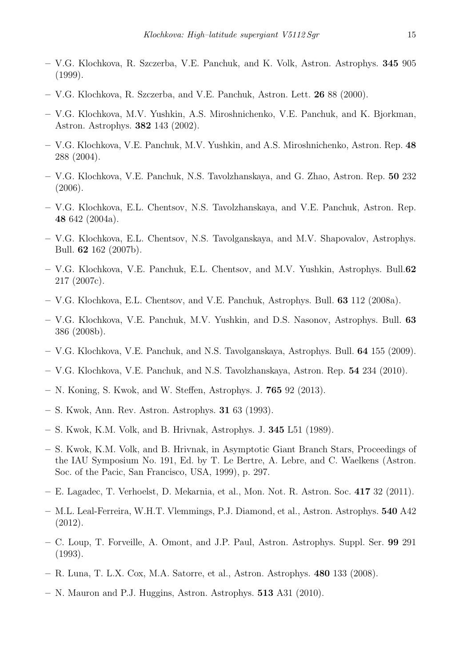- V.G. Klochkova, R. Szczerba, V.E. Panchuk, and K. Volk, Astron. Astrophys. 345 905 (1999).
- V.G. Klochkova, R. Szczerba, and V.E. Panchuk, Astron. Lett. 26 88 (2000).
- V.G. Klochkova, M.V. Yushkin, A.S. Miroshnichenko, V.E. Panchuk, and K. Bjorkman, Astron. Astrophys. 382 143 (2002).
- V.G. Klochkova, V.E. Panchuk, M.V. Yushkin, and A.S. Miroshnichenko, Astron. Rep. 48 288 (2004).
- V.G. Klochkova, V.E. Panchuk, N.S. Tavolzhanskaya, and G. Zhao, Astron. Rep. 50 232 (2006).
- V.G. Klochkova, E.L. Chentsov, N.S. Tavolzhanskaya, and V.E. Panchuk, Astron. Rep. 48 642 (2004a).
- V.G. Klochkova, E.L. Chentsov, N.S. Tavolganskaya, and M.V. Shapovalov, Astrophys. Bull. 62 162 (2007b).
- V.G. Klochkova, V.E. Panchuk, E.L. Chentsov, and M.V. Yushkin, Astrophys. Bull.62 217 (2007c).
- V.G. Klochkova, E.L. Chentsov, and V.E. Panchuk, Astrophys. Bull. 63 112 (2008a).
- V.G. Klochkova, V.E. Panchuk, M.V. Yushkin, and D.S. Nasonov, Astrophys. Bull. 63 386 (2008b).
- V.G. Klochkova, V.E. Panchuk, and N.S. Tavolganskaya, Astrophys. Bull. 64 155 (2009).
- V.G. Klochkova, V.E. Panchuk, and N.S. Tavolzhanskaya, Astron. Rep. 54 234 (2010).
- N. Koning, S. Kwok, and W. Steffen, Astrophys. J. 765 92 (2013).
- S. Kwok, Ann. Rev. Astron. Astrophys. 31 63 (1993).
- S. Kwok, K.M. Volk, and B. Hrivnak, Astrophys. J. 345 L51 (1989).
- S. Kwok, K.M. Volk, and B. Hrivnak, in Asymptotic Giant Branch Stars, Proceedings of the IAU Symposium No. 191, Ed. by T. Le Bertre, A. Lebre, and C. Waelkens (Astron. Soc. of the Pacic, San Francisco, USA, 1999), p. 297.
- E. Lagadec, T. Verhoelst, D. Mekarnia, et al., Mon. Not. R. Astron. Soc. 417 32 (2011).
- M.L. Leal-Ferreira, W.H.T. Vlemmings, P.J. Diamond, et al., Astron. Astrophys. 540 A42 (2012).
- C. Loup, T. Forveille, A. Omont, and J.P. Paul, Astron. Astrophys. Suppl. Ser. 99 291 (1993).
- R. Luna, T. L.X. Cox, M.A. Satorre, et al., Astron. Astrophys. 480 133 (2008).
- N. Mauron and P.J. Huggins, Astron. Astrophys. 513 A31 (2010).